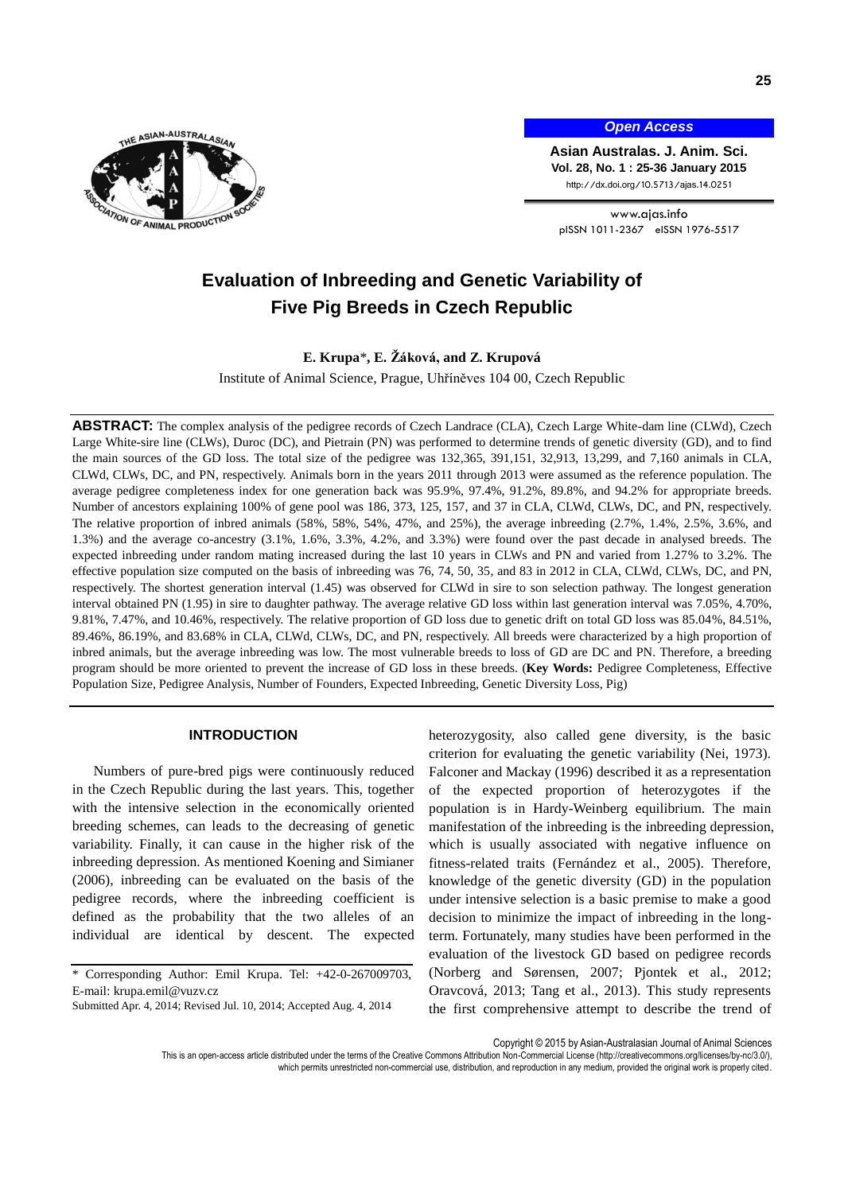

*Open Access*

**Asian Australas. J. Anim. Sci. Vol. 28, No. 1 : 25-36 January 2015** http://dx.doi.org/10.5713/ajas.14.0251

www.ajas.info pISSN 1011-2367 eISSN 1976-5517

# **Evaluation of Inbreeding and Genetic Variability of Five Pig Breeds in Czech Republic**

**E. Krupa**\***, E. Žáková, and Z. Krupová**

Institute of Animal Science, Prague, Uhříněves 104 00, Czech Republic

**ABSTRACT:** The complex analysis of the pedigree records of Czech Landrace (CLA), Czech Large White-dam line (CLWd), Czech Large White-sire line (CLWs), Duroc (DC), and Pietrain (PN) was performed to determine trends of genetic diversity (GD), and to find the main sources of the GD loss. The total size of the pedigree was 132,365, 391,151, 32,913, 13,299, and 7,160 animals in CLA, CLWd, CLWs, DC, and PN, respectively. Animals born in the years 2011 through 2013 were assumed as the reference population. The average pedigree completeness index for one generation back was 95.9%, 97.4%, 91.2%, 89.8%, and 94.2% for appropriate breeds. Number of ancestors explaining 100% of gene pool was 186, 373, 125, 157, and 37 in CLA, CLWd, CLWs, DC, and PN, respectively. The relative proportion of inbred animals (58%, 58%, 54%, 47%, and 25%), the average inbreeding (2.7%, 1.4%, 2.5%, 3.6%, and 1.3%) and the average co-ancestry (3.1%, 1.6%, 3.3%, 4.2%, and 3.3%) were found over the past decade in analysed breeds. The expected inbreeding under random mating increased during the last 10 years in CLWs and PN and varied from 1.27% to 3.2%. The effective population size computed on the basis of inbreeding was 76, 74, 50, 35, and 83 in 2012 in CLA, CLWd, CLWs, DC, and PN, respectively. The shortest generation interval (1.45) was observed for CLWd in sire to son selection pathway. The longest generation interval obtained PN (1.95) in sire to daughter pathway. The average relative GD loss within last generation interval was 7.05%, 4.70%, 9.81%, 7.47%, and 10.46%, respectively. The relative proportion of GD loss due to genetic drift on total GD loss was 85.04%, 84.51%, 89.46%, 86.19%, and 83.68% in CLA, CLWd, CLWs, DC, and PN, respectively. All breeds were characterized by a high proportion of inbred animals, but the average inbreeding was low. The most vulnerable breeds to loss of GD are DC and PN. Therefore, a breeding program should be more oriented to prevent the increase of GD loss in these breeds. (**Key Words:** Pedigree Completeness, Effective Population Size, Pedigree Analysis, Number of Founders, Expected Inbreeding, Genetic Diversity Loss, Pig)

# **INTRODUCTION**

Numbers of pure-bred pigs were continuously reduced in the Czech Republic during the last years. This, together with the intensive selection in the economically oriented breeding schemes, can leads to the decreasing of genetic variability. Finally, it can cause in the higher risk of the inbreeding depression. As mentioned Koening and Simianer (2006), inbreeding can be evaluated on the basis of the pedigree records, where the inbreeding coefficient is defined as the probability that the two alleles of an individual are identical by descent. The expected

heterozygosity, also called gene diversity, is the basic criterion for evaluating the genetic variability (Nei, 1973). Falconer and Mackay (1996) described it as a representation of the expected proportion of heterozygotes if the population is in Hardy-Weinberg equilibrium. The main manifestation of the inbreeding is the inbreeding depression, which is usually associated with negative influence on fitness-related traits (Fernández et al., 2005). Therefore, knowledge of the genetic diversity (GD) in the population under intensive selection is a basic premise to make a good decision to minimize the impact of inbreeding in the longterm. Fortunately, many studies have been performed in the evaluation of the livestock GD based on pedigree records (Norberg and Sørensen, 2007; Pjontek et al., 2012; Oravcová, 2013; Tang et al., 2013). This study represents the first comprehensive attempt to describe the trend of

Copyright © 2015 by Asian-Australasian Journal of Animal Sciences

This is an open-access article distributed under the terms of the Creative Commons Attribution Non-Commercial License [\(http://creativecommons.org/licenses/by-nc/3.0/\),](http://creativecommons.org/licenses/by-nc/3.0/) which permits unrestricted non-commercial use, distribution, and reproduction in any medium, provided the original work is properly cited

<sup>\*</sup> Corresponding Author: Emil Krupa. Tel: +42-0-267009703, E-mail: krupa.emil@vuzv.cz

Submitted Apr. 4, 2014; Revised Jul. 10, 2014; Accepted Aug. 4, 2014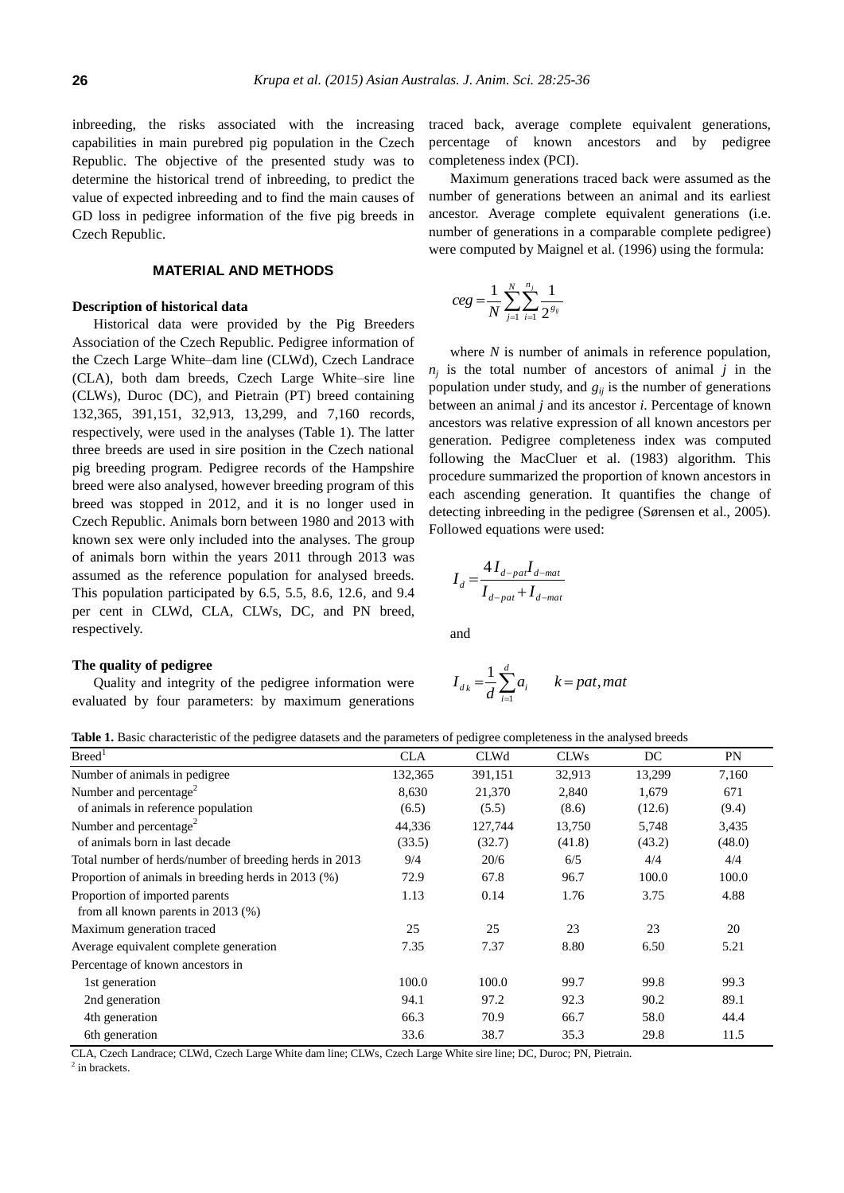inbreeding, the risks associated with the increasing capabilities in main purebred pig population in the Czech Republic. The objective of the presented study was to determine the historical trend of inbreeding, to predict the value of expected inbreeding and to find the main causes of GD loss in pedigree information of the five pig breeds in Czech Republic.

# **MATERIAL AND METHODS**

# **Description of historical data**

Historical data were provided by the Pig Breeders Association of the Czech Republic. Pedigree information of the Czech Large White–dam line (CLWd), Czech Landrace (CLA), both dam breeds, Czech Large White–sire line (CLWs), Duroc (DC), and Pietrain (PT) breed containing 132,365, 391,151, 32,913, 13,299, and 7,160 records, respectively, were used in the analyses (Table 1). The latter three breeds are used in sire position in the Czech national pig breeding program. Pedigree records of the Hampshire breed were also analysed, however breeding program of this breed was stopped in 2012, and it is no longer used in Czech Republic. Animals born between 1980 and 2013 with known sex were only included into the analyses. The group of animals born within the years 2011 through 2013 was assumed as the reference population for analysed breeds. This population participated by 6.5, 5.5, 8.6, 12.6, and 9.4 per cent in CLWd, CLA, CLWs, DC, and PN breed, respectively.

# **The quality of pedigree**

Quality and integrity of the pedigree information were evaluated by four parameters: by maximum generations traced back, average complete equivalent generations, percentage of known ancestors and by pedigree completeness index (PCI).

Maximum generations traced back were assumed as the number of generations between an animal and its earliest ancestor. Average complete equivalent generations (i.e. number of generations in a comparable complete pedigree) were computed by Maignel et al. (1996) using the formula:

$$
ceg = \frac{1}{N} \sum_{j=1}^{N} \sum_{i=1}^{n_j} \frac{1}{2^{s_i}}
$$

where *N* is number of animals in reference population,  $n_j$  is the total number of ancestors of animal *j* in the population under study, and  $g_{ii}$  is the number of generations between an animal *j* and its ancestor *i*. Percentage of known ancestors was relative expression of all known ancestors per generation. Pedigree completeness index was computed following the MacCluer et al. (1983) algorithm. This procedure summarized the proportion of known ancestors in each ascending generation. It quantifies the change of detecting inbreeding in the pedigree (Sørensen et al., 2005). Followed equations were used:

$$
I_d = \frac{4I_{d-pat}I_{d-mat}}{I_{d-pat} + I_{d-mat}}
$$

and

$$
I_{d_k} = \frac{1}{d} \sum_{i=1}^{d} a_i \qquad k = pat, mat
$$

| Table 1. Basic characteristic of the pedigree datasets and the parameters of pedigree completeness in the analysed breeds |  |  |
|---------------------------------------------------------------------------------------------------------------------------|--|--|
|---------------------------------------------------------------------------------------------------------------------------|--|--|

| Breed <sup>1</sup>                                     | <b>CLA</b> | <b>CLWd</b> | <b>CLWs</b> | DC     | PN     |
|--------------------------------------------------------|------------|-------------|-------------|--------|--------|
| Number of animals in pedigree                          | 132,365    | 391,151     | 32,913      | 13,299 | 7,160  |
| Number and percentage <sup>2</sup>                     | 8,630      | 21,370      | 2,840       | 1,679  | 671    |
| of animals in reference population                     | (6.5)      | (5.5)       | (8.6)       | (12.6) | (9.4)  |
| Number and percentage <sup>2</sup>                     | 44,336     | 127,744     | 13,750      | 5,748  | 3,435  |
| of animals born in last decade                         | (33.5)     | (32.7)      | (41.8)      | (43.2) | (48.0) |
| Total number of herds/number of breeding herds in 2013 | 9/4        | 20/6        | 6/5         | 4/4    | 4/4    |
| Proportion of animals in breeding herds in 2013 (%)    | 72.9       | 67.8        | 96.7        | 100.0  | 100.0  |
| Proportion of imported parents                         | 1.13       | 0.14        | 1.76        | 3.75   | 4.88   |
| from all known parents in $2013$ (%)                   |            |             |             |        |        |
| Maximum generation traced                              | 25         | 25          | 23          | 23     | 20     |
| Average equivalent complete generation                 | 7.35       | 7.37        | 8.80        | 6.50   | 5.21   |
| Percentage of known ancestors in                       |            |             |             |        |        |
| 1st generation                                         | 100.0      | 100.0       | 99.7        | 99.8   | 99.3   |
| 2nd generation                                         | 94.1       | 97.2        | 92.3        | 90.2   | 89.1   |
| 4th generation                                         | 66.3       | 70.9        | 66.7        | 58.0   | 44.4   |
| 6th generation                                         | 33.6       | 38.7        | 35.3        | 29.8   | 11.5   |

CLA, Czech Landrace; CLWd, Czech Large White dam line; CLWs, Czech Large White sire line; DC, Duroc; PN, Pietrain. <sup>2</sup> in brackets.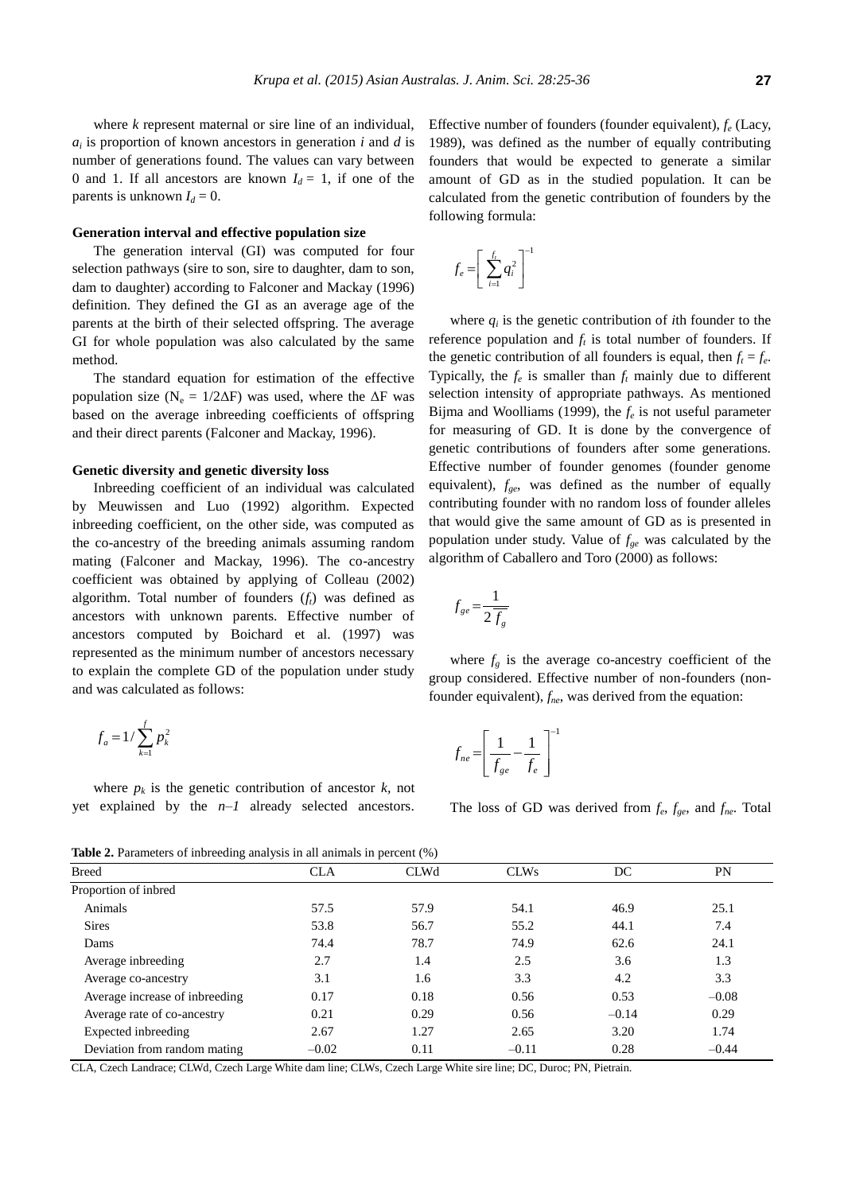where *k* represent maternal or sire line of an individual, *ai* is proportion of known ancestors in generation *i* and *d* is number of generations found. The values can vary between 0 and 1. If all ancestors are known  $I_d = 1$ , if one of the parents is unknown  $I_d = 0$ .

# **Generation interval and effective population size**

The generation interval (GI) was computed for four selection pathways (sire to son, sire to daughter, dam to son, dam to daughter) according to Falconer and Mackay (1996) definition. They defined the GI as an average age of the parents at the birth of their selected offspring. The average GI for whole population was also calculated by the same method.

The standard equation for estimation of the effective population size ( $N_e = 1/2\Delta F$ ) was used, where the  $\Delta F$  was based on the average inbreeding coefficients of offspring and their direct parents (Falconer and Mackay, 1996).

# **Genetic diversity and genetic diversity loss**

Inbreeding coefficient of an individual was calculated by Meuwissen and Luo (1992) algorithm. Expected inbreeding coefficient, on the other side, was computed as the co-ancestry of the breeding animals assuming random mating (Falconer and Mackay, 1996). The co-ancestry coefficient was obtained by applying of Colleau (2002) algorithm. Total number of founders (*ft*) was defined as ancestors with unknown parents. Effective number of ancestors computed by Boichard et al. (1997) was represented as the minimum number of ancestors necessary to explain the complete GD of the population under study and was calculated as follows:

$$
f_a = 1/\sum_{k=1}^f p_k^2
$$

where  $p_k$  is the genetic contribution of ancestor  $k$ , not yet explained by the *n*–*1* already selected ancestors.

Effective number of founders (founder equivalent), *f<sup>e</sup>* (Lacy, 1989), was defined as the number of equally contributing founders that would be expected to generate a similar amount of GD as in the studied population. It can be calculated from the genetic contribution of founders by the following formula:

$$
f_e = \left[ \sum_{i=1}^{f_t} q_i^2 \right]^{-1}
$$

where  $q_i$  is the genetic contribution of *i*th founder to the reference population and  $f_t$  is total number of founders. If the genetic contribution of all founders is equal, then  $f_t = f_e$ . Typically, the  $f_e$  is smaller than  $f_t$  mainly due to different selection intensity of appropriate pathways. As mentioned Bijma and Woolliams (1999), the *f<sup>e</sup>* is not useful parameter for measuring of GD. It is done by the convergence of genetic contributions of founders after some generations. Effective number of founder genomes (founder genome equivalent), *fge*, was defined as the number of equally contributing founder with no random loss of founder alleles that would give the same amount of GD as is presented in population under study. Value of *fge* was calculated by the algorithm of Caballero and Toro (2000) as follows:

$$
f_{ge} = \frac{1}{2\overline{f_g}}
$$

where  $f_g$  is the average co-ancestry coefficient of the group considered. Effective number of non-founders (nonfounder equivalent), *fne*, was derived from the equation:

$$
f_{ne} = \left[\frac{1}{f_{ge}} - \frac{1}{f_e}\right]^{-1}
$$

The loss of GD was derived from *f<sup>e</sup>* , *fge*, and *fne*. Total

**Table 2.** Parameters of inbreeding analysis in all animals in percent (%)

| <b>Breed</b>                   | <b>CLA</b> | <b>CLWd</b> | <b>CLWs</b> | DC      | PN      |
|--------------------------------|------------|-------------|-------------|---------|---------|
| Proportion of inbred           |            |             |             |         |         |
| Animals                        | 57.5       | 57.9        | 54.1        | 46.9    | 25.1    |
| <b>Sires</b>                   | 53.8       | 56.7        | 55.2        | 44.1    | 7.4     |
| Dams                           | 74.4       | 78.7        | 74.9        | 62.6    | 24.1    |
| Average inbreeding             | 2.7        | 1.4         | 2.5         | 3.6     | 1.3     |
| Average co-ancestry            | 3.1        | 1.6         | 3.3         | 4.2     | 3.3     |
| Average increase of inbreeding | 0.17       | 0.18        | 0.56        | 0.53    | $-0.08$ |
| Average rate of co-ancestry    | 0.21       | 0.29        | 0.56        | $-0.14$ | 0.29    |
| Expected inbreeding            | 2.67       | 1.27        | 2.65        | 3.20    | 1.74    |
| Deviation from random mating   | $-0.02$    | 0.11        | $-0.11$     | 0.28    | $-0.44$ |

CLA, Czech Landrace; CLWd, Czech Large White dam line; CLWs, Czech Large White sire line; DC, Duroc; PN, Pietrain.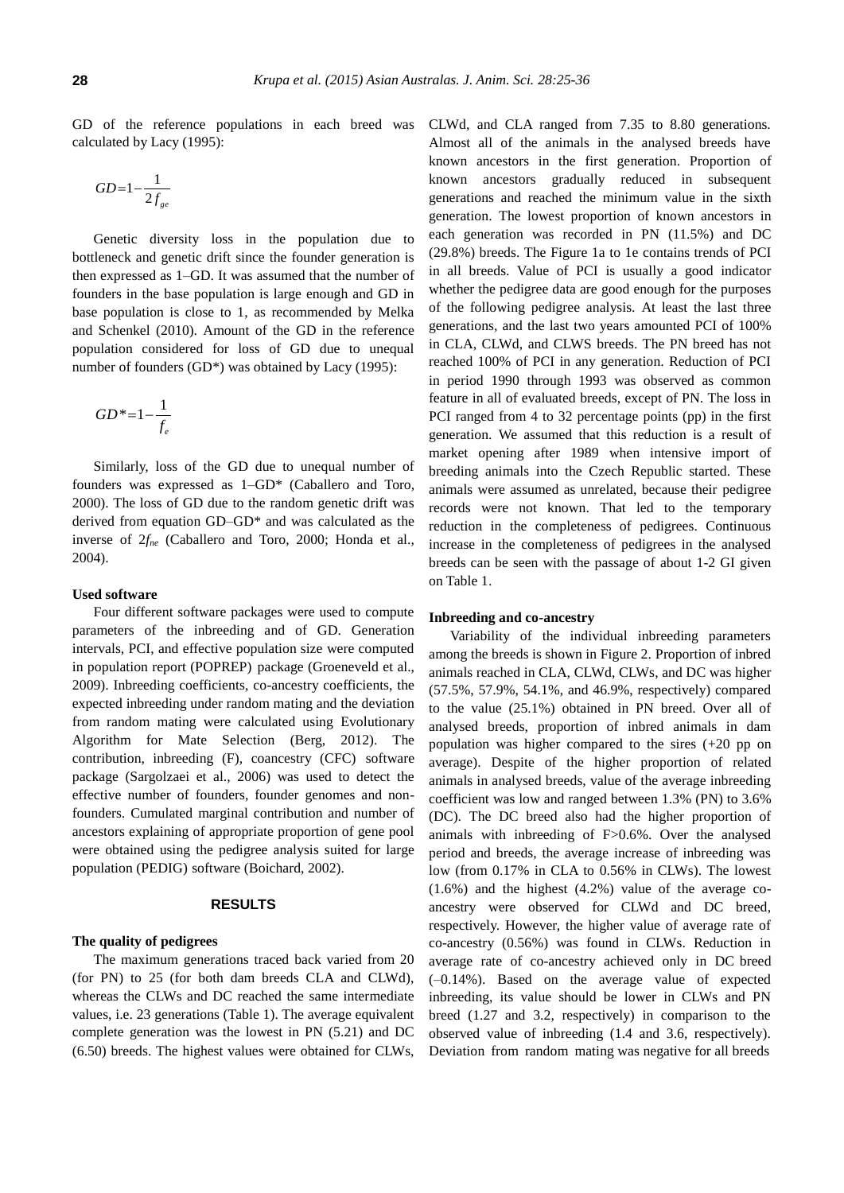GD of the reference populations in each breed was calculated by Lacy (1995):

$$
GD{=}1{-}\frac{1}{2f_{ge}}
$$

Genetic diversity loss in the population due to bottleneck and genetic drift since the founder generation is then expressed as 1–GD. It was assumed that the number of founders in the base population is large enough and GD in base population is close to 1, as recommended by Melka and Schenkel (2010). Amount of the GD in the reference population considered for loss of GD due to unequal number of founders (GD\*) was obtained by Lacy (1995):

$$
GD^* = 1 - \frac{1}{f_e}
$$

Similarly, loss of the GD due to unequal number of founders was expressed as 1–GD\* (Caballero and Toro, 2000). The loss of GD due to the random genetic drift was derived from equation GD–GD\* and was calculated as the inverse of 2*fne* (Caballero and Toro, 2000; Honda et al., 2004).

# **Used software**

Four different software packages were used to compute parameters of the inbreeding and of GD. Generation intervals, PCI, and effective population size were computed in population report (POPREP) package (Groeneveld et al., 2009). Inbreeding coefficients, co-ancestry coefficients, the expected inbreeding under random mating and the deviation from random mating were calculated using Evolutionary Algorithm for Mate Selection (Berg, 2012). The contribution, inbreeding (F), coancestry (CFC) software package (Sargolzaei et al., 2006) was used to detect the effective number of founders, founder genomes and nonfounders. Cumulated marginal contribution and number of ancestors explaining of appropriate proportion of gene pool were obtained using the pedigree analysis suited for large population (PEDIG) software (Boichard, 2002).

## **RESULTS**

# **The quality of pedigrees**

The maximum generations traced back varied from 20 (for PN) to 25 (for both dam breeds CLA and CLWd), whereas the CLWs and DC reached the same intermediate values, i.e. 23 generations (Table 1). The average equivalent complete generation was the lowest in PN (5.21) and DC (6.50) breeds. The highest values were obtained for CLWs, CLWd, and CLA ranged from 7.35 to 8.80 generations. Almost all of the animals in the analysed breeds have known ancestors in the first generation. Proportion of known ancestors gradually reduced in subsequent generations and reached the minimum value in the sixth generation. The lowest proportion of known ancestors in each generation was recorded in PN (11.5%) and DC (29.8%) breeds. The Figure 1a to 1e contains trends of PCI in all breeds. Value of PCI is usually a good indicator whether the pedigree data are good enough for the purposes of the following pedigree analysis. At least the last three generations, and the last two years amounted PCI of 100% in CLA, CLWd, and CLWS breeds. The PN breed has not reached 100% of PCI in any generation. Reduction of PCI in period 1990 through 1993 was observed as common feature in all of evaluated breeds, except of PN. The loss in PCI ranged from 4 to 32 percentage points (pp) in the first generation. We assumed that this reduction is a result of market opening after 1989 when intensive import of breeding animals into the Czech Republic started. These animals were assumed as unrelated, because their pedigree records were not known. That led to the temporary reduction in the completeness of pedigrees. Continuous increase in the completeness of pedigrees in the analysed breeds can be seen with the passage of about 1-2 GI given on Table 1.

#### **Inbreeding and co-ancestry**

Variability of the individual inbreeding parameters among the breeds is shown in Figure 2. Proportion of inbred animals reached in CLA, CLWd, CLWs, and DC was higher (57.5%, 57.9%, 54.1%, and 46.9%, respectively) compared to the value (25.1%) obtained in PN breed. Over all of analysed breeds, proportion of inbred animals in dam population was higher compared to the sires (+20 pp on average). Despite of the higher proportion of related animals in analysed breeds, value of the average inbreeding coefficient was low and ranged between 1.3% (PN) to 3.6% (DC). The DC breed also had the higher proportion of animals with inbreeding of F>0.6%. Over the analysed period and breeds, the average increase of inbreeding was low (from 0.17% in CLA to 0.56% in CLWs). The lowest (1.6%) and the highest (4.2%) value of the average coancestry were observed for CLWd and DC breed, respectively. However, the higher value of average rate of co-ancestry (0.56%) was found in CLWs. Reduction in average rate of co-ancestry achieved only in DC breed (–0.14%). Based on the average value of expected inbreeding, its value should be lower in CLWs and PN breed (1.27 and 3.2, respectively) in comparison to the observed value of inbreeding (1.4 and 3.6, respectively). Deviation from random mating was negative for all breeds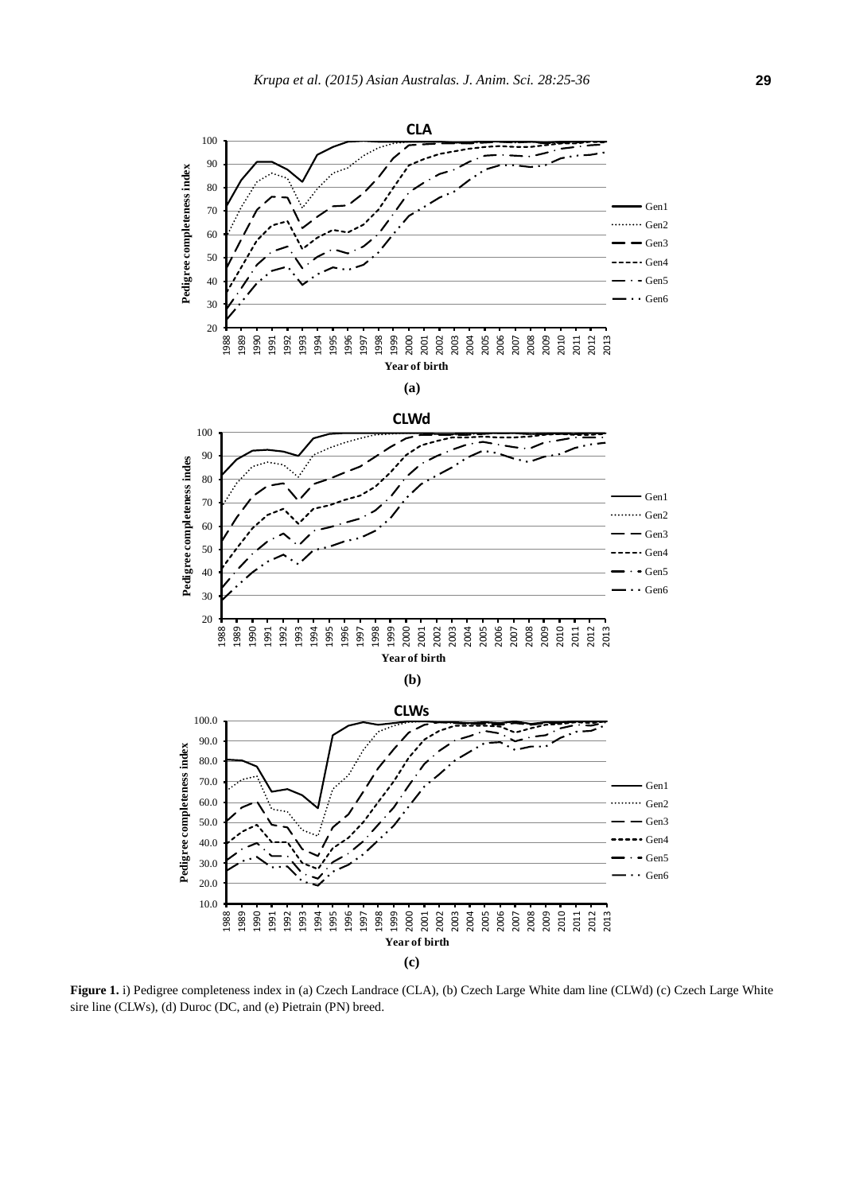

**Figure 1.** i) Pedigree completeness index in (a) Czech Landrace (CLA), (b) Czech Large White dam line (CLWd) (c) Czech Large White sire line (CLWs), (d) Duroc (DC, and (e) Pietrain (PN) breed.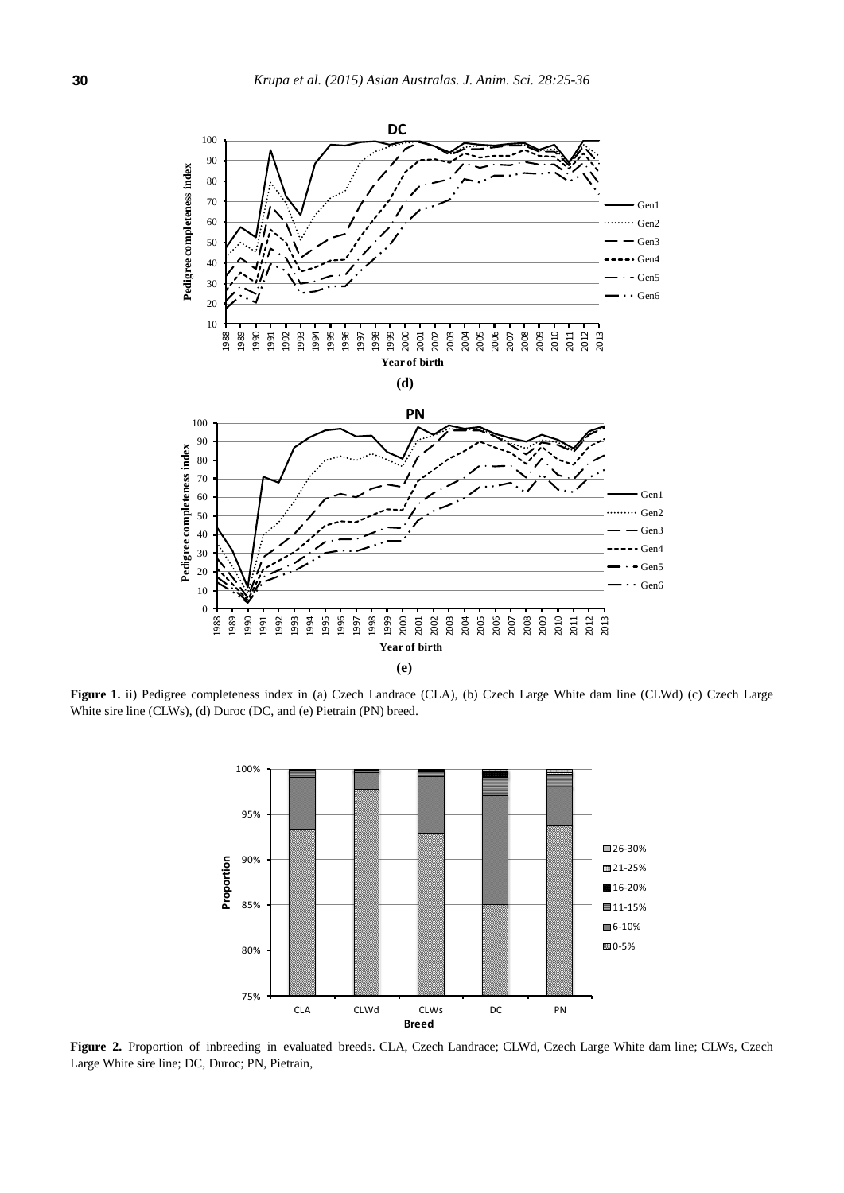

**Figure 1.** ii) Pedigree completeness index in (a) Czech Landrace (CLA), (b) Czech Large White dam line (CLWd) (c) Czech Large White sire line (CLWs), (d) Duroc (DC, and (e) Pietrain (PN) breed.



**Figure 2.** Proportion of inbreeding in evaluated breeds. CLA, Czech Landrace; CLWd, Czech Large White dam line; CLWs, Czech Large White sire line; DC, Duroc; PN, Pietrain,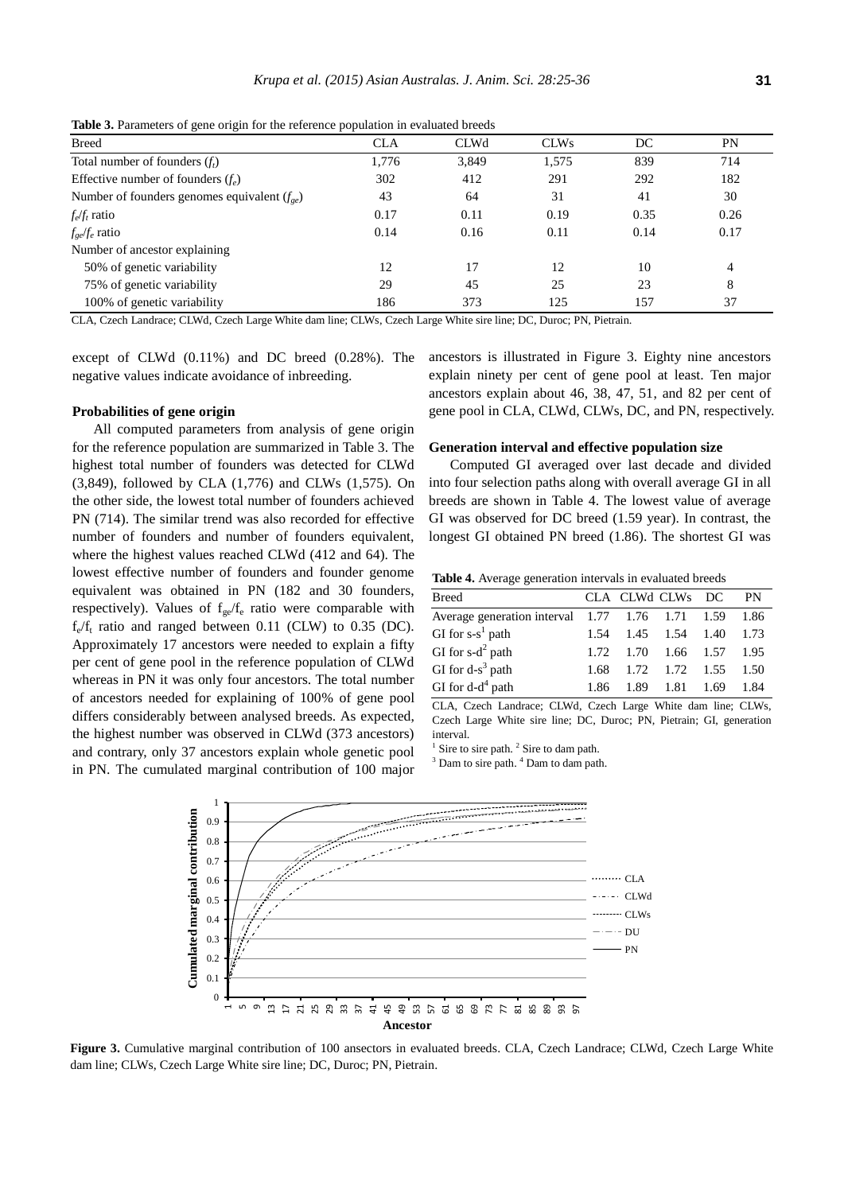| -- <del>A</del> ---- ---A--- --- |             |             |      |           |  |  |  |
|----------------------------------|-------------|-------------|------|-----------|--|--|--|
| <b>CLA</b>                       | <b>CLWd</b> | <b>CLWs</b> | DC   | <b>PN</b> |  |  |  |
| 1.776                            | 3,849       | 1,575       | 839  | 714       |  |  |  |
| 302                              | 412         | 291         | 292  | 182       |  |  |  |
| 43                               | 64          | 31          | 41   | 30        |  |  |  |
| 0.17                             | 0.11        | 0.19        | 0.35 | 0.26      |  |  |  |
| 0.14                             | 0.16        | 0.11        | 0.14 | 0.17      |  |  |  |
|                                  |             |             |      |           |  |  |  |
| 12                               | 17          | 12          | 10   | 4         |  |  |  |
| 29                               | 45          | 25          | 23   | 8         |  |  |  |
| 186                              | 373         | 125         | 157  | 37        |  |  |  |
|                                  |             |             |      |           |  |  |  |

**Table 3.** Parameters of gene origin for the reference population in evaluated breeds

CLA, Czech Landrace; CLWd, Czech Large White dam line; CLWs, Czech Large White sire line; DC, Duroc; PN, Pietrain.

except of CLWd (0.11%) and DC breed (0.28%). The negative values indicate avoidance of inbreeding.

# **Probabilities of gene origin**

All computed parameters from analysis of gene origin for the reference population are summarized in Table 3. The highest total number of founders was detected for CLWd (3,849), followed by CLA (1,776) and CLWs (1,575). On the other side, the lowest total number of founders achieved PN (714). The similar trend was also recorded for effective number of founders and number of founders equivalent, where the highest values reached CLWd (412 and 64). The lowest effective number of founders and founder genome equivalent was obtained in PN (182 and 30 founders, respectively). Values of  $f_{ge}/f_e$  ratio were comparable with  $f_e/f_t$  ratio and ranged between 0.11 (CLW) to 0.35 (DC). Approximately 17 ancestors were needed to explain a fifty per cent of gene pool in the reference population of CLWd whereas in PN it was only four ancestors. The total number of ancestors needed for explaining of 100% of gene pool differs considerably between analysed breeds. As expected, the highest number was observed in CLWd (373 ancestors) and contrary, only 37 ancestors explain whole genetic pool in PN. The cumulated marginal contribution of 100 major

ancestors is illustrated in Figure 3. Eighty nine ancestors explain ninety per cent of gene pool at least. Ten major ancestors explain about 46, 38, 47, 51, and 82 per cent of gene pool in CLA, CLWd, CLWs, DC, and PN, respectively.

## **Generation interval and effective population size**

Computed GI averaged over last decade and divided into four selection paths along with overall average GI in all breeds are shown in Table 4. The lowest value of average GI was observed for DC breed (1.59 year). In contrast, the longest GI obtained PN breed (1.86). The shortest GI was

**Table 4.** Average generation intervals in evaluated breeds

| Breed                                                | CLA CLWd CLWs DC                   |  | <b>PN</b> |
|------------------------------------------------------|------------------------------------|--|-----------|
| Average generation interval 1.77 1.76 1.71 1.59 1.86 |                                    |  |           |
| GI for $s-s^1$ path                                  | 1.54 1.45 1.54 1.40 1.73           |  |           |
| GI for $s-d^2$ path                                  | 1.72 1.70 1.66 1.57 1.95           |  |           |
| GI for $d-s^3$ path                                  | $1.68$ $1.72$ $1.72$ $1.55$ $1.50$ |  |           |
| GI for $d-d^4$ path                                  | 1.86 1.89 1.81 1.69 1.84           |  |           |

CLA, Czech Landrace; CLWd, Czech Large White dam line; CLWs, Czech Large White sire line; DC, Duroc; PN, Pietrain; GI, generation interval.

<sup>1</sup> Sire to sire path.<sup>2</sup> Sire to dam path.

<sup>3</sup> Dam to sire path.<sup>4</sup> Dam to dam path.



**Figure 3.** Cumulative marginal contribution of 100 ansectors in evaluated breeds. CLA, Czech Landrace; CLWd, Czech Large White dam line; CLWs, Czech Large White sire line; DC, Duroc; PN, Pietrain.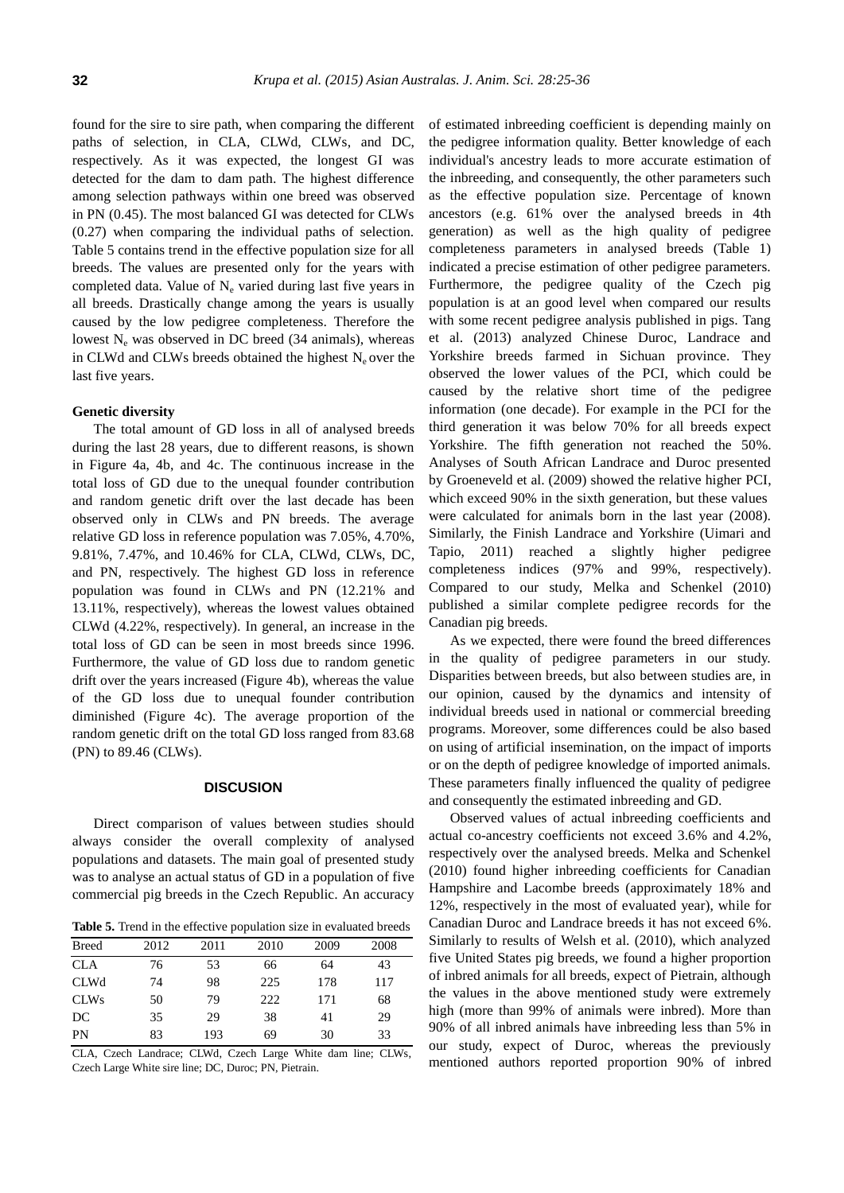found for the sire to sire path, when comparing the different paths of selection, in CLA, CLWd, CLWs, and DC, respectively. As it was expected, the longest GI was detected for the dam to dam path. The highest difference among selection pathways within one breed was observed in PN (0.45). The most balanced GI was detected for CLWs (0.27) when comparing the individual paths of selection. Table 5 contains trend in the effective population size for all breeds. The values are presented only for the years with completed data. Value of  $N_e$  varied during last five years in all breeds. Drastically change among the years is usually caused by the low pedigree completeness. Therefore the lowest  $N_e$  was observed in DC breed (34 animals), whereas in CLWd and CLWs breeds obtained the highest  $N_e$  over the last five years.

### **Genetic diversity**

The total amount of GD loss in all of analysed breeds during the last 28 years, due to different reasons, is shown in Figure 4a, 4b, and 4c. The continuous increase in the total loss of GD due to the unequal founder contribution and random genetic drift over the last decade has been observed only in CLWs and PN breeds. The average relative GD loss in reference population was 7.05%, 4.70%, 9.81%, 7.47%, and 10.46% for CLA, CLWd, CLWs, DC, and PN, respectively. The highest GD loss in reference population was found in CLWs and PN (12.21% and 13.11%, respectively), whereas the lowest values obtained CLWd (4.22%, respectively). In general, an increase in the total loss of GD can be seen in most breeds since 1996. Furthermore, the value of GD loss due to random genetic drift over the years increased (Figure 4b), whereas the value of the GD loss due to unequal founder contribution diminished (Figure 4c). The average proportion of the random genetic drift on the total GD loss ranged from 83.68 (PN) to 89.46 (CLWs).

# **DISCUSION**

Direct comparison of values between studies should always consider the overall complexity of analysed populations and datasets. The main goal of presented study was to analyse an actual status of GD in a population of five commercial pig breeds in the Czech Republic. An accuracy

Table 5. Trend in the effective population size in evaluated breeds

| <b>Breed</b> | 2012 | 2011 | 2010 | 2009 | 2008 |
|--------------|------|------|------|------|------|
| <b>CLA</b>   | 76   | 53   | 66   | 64   | 43   |
| <b>CLWd</b>  | 74   | 98   | 225  | 178  | 117  |
| <b>CLWs</b>  | 50   | 79   | 222  | 171  | 68   |
| DC           | 35   | 29   | 38   | 41   | 29   |
| PN           | 83   | 193  | 69   | 30   | 33   |

CLA, Czech Landrace; CLWd, Czech Large White dam line; CLWs, Czech Large White sire line; DC, Duroc; PN, Pietrain.

of estimated inbreeding coefficient is depending mainly on the pedigree information quality. Better knowledge of each individual's ancestry leads to more accurate estimation of the inbreeding, and consequently, the other parameters such as the effective population size. Percentage of known ancestors (e.g. 61% over the analysed breeds in 4th generation) as well as the high quality of pedigree completeness parameters in analysed breeds (Table 1) indicated a precise estimation of other pedigree parameters. Furthermore, the pedigree quality of the Czech pig population is at an good level when compared our results with some recent pedigree analysis published in pigs. Tang et al. (2013) analyzed Chinese Duroc, Landrace and Yorkshire breeds farmed in Sichuan province. They observed the lower values of the PCI, which could be caused by the relative short time of the pedigree information (one decade). For example in the PCI for the third generation it was below 70% for all breeds expect Yorkshire. The fifth generation not reached the 50%. Analyses of South African Landrace and Duroc presented by Groeneveld et al. (2009) showed the relative higher PCI, which exceed 90% in the sixth generation, but these values were calculated for animals born in the last year (2008). Similarly, the Finish Landrace and Yorkshire (Uimari and Tapio, 2011) reached a slightly higher pedigree completeness indices (97% and 99%, respectively). Compared to our study, Melka and Schenkel (2010) published a similar complete pedigree records for the Canadian pig breeds.

As we expected, there were found the breed differences in the quality of pedigree parameters in our study. Disparities between breeds, but also between studies are, in our opinion, caused by the dynamics and intensity of individual breeds used in national or commercial breeding programs. Moreover, some differences could be also based on using of artificial insemination, on the impact of imports or on the depth of pedigree knowledge of imported animals. These parameters finally influenced the quality of pedigree and consequently the estimated inbreeding and GD.

Observed values of actual inbreeding coefficients and actual co-ancestry coefficients not exceed 3.6% and 4.2%, respectively over the analysed breeds. Melka and Schenkel (2010) found higher inbreeding coefficients for Canadian Hampshire and Lacombe breeds (approximately 18% and 12%, respectively in the most of evaluated year), while for Canadian Duroc and Landrace breeds it has not exceed 6%. Similarly to results of Welsh et al. (2010), which analyzed five United States pig breeds, we found a higher proportion of inbred animals for all breeds, expect of Pietrain, although the values in the above mentioned study were extremely high (more than 99% of animals were inbred). More than 90% of all inbred animals have inbreeding less than 5% in our study, expect of Duroc, whereas the previously mentioned authors reported proportion 90% of inbred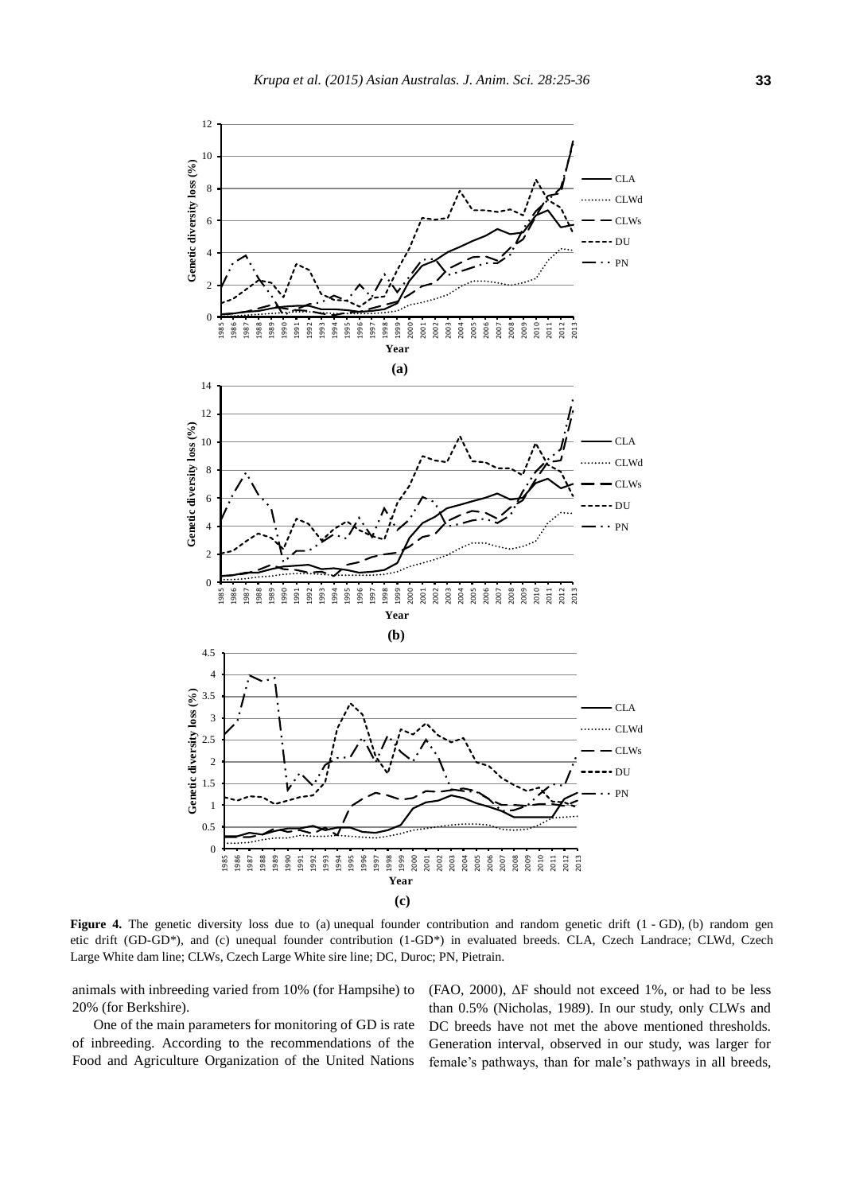

Figure 4. The genetic diversity loss due to (a) unequal founder contribution and random genetic drift (1 - GD), (b) random gen etic drift (GD-GD\*), and (c) unequal founder contribution (1-GD\*) in evaluated breeds. CLA, Czech Landrace; CLWd, Czech Large White dam line; CLWs, Czech Large White sire line; DC, Duroc; PN, Pietrain.

animals with inbreeding varied from 10% (for Hampsihe) to 20% (for Berkshire).

One of the main parameters for monitoring of GD is rate of inbreeding. According to the recommendations of the Food and Agriculture Organization of the United Nations (FAO, 2000), ΔF should not exceed 1%, or had to be less than 0.5% (Nicholas, 1989). In our study, only CLWs and DC breeds have not met the above mentioned thresholds. Generation interval, observed in our study, was larger for female's pathways, than for male's pathways in all breeds,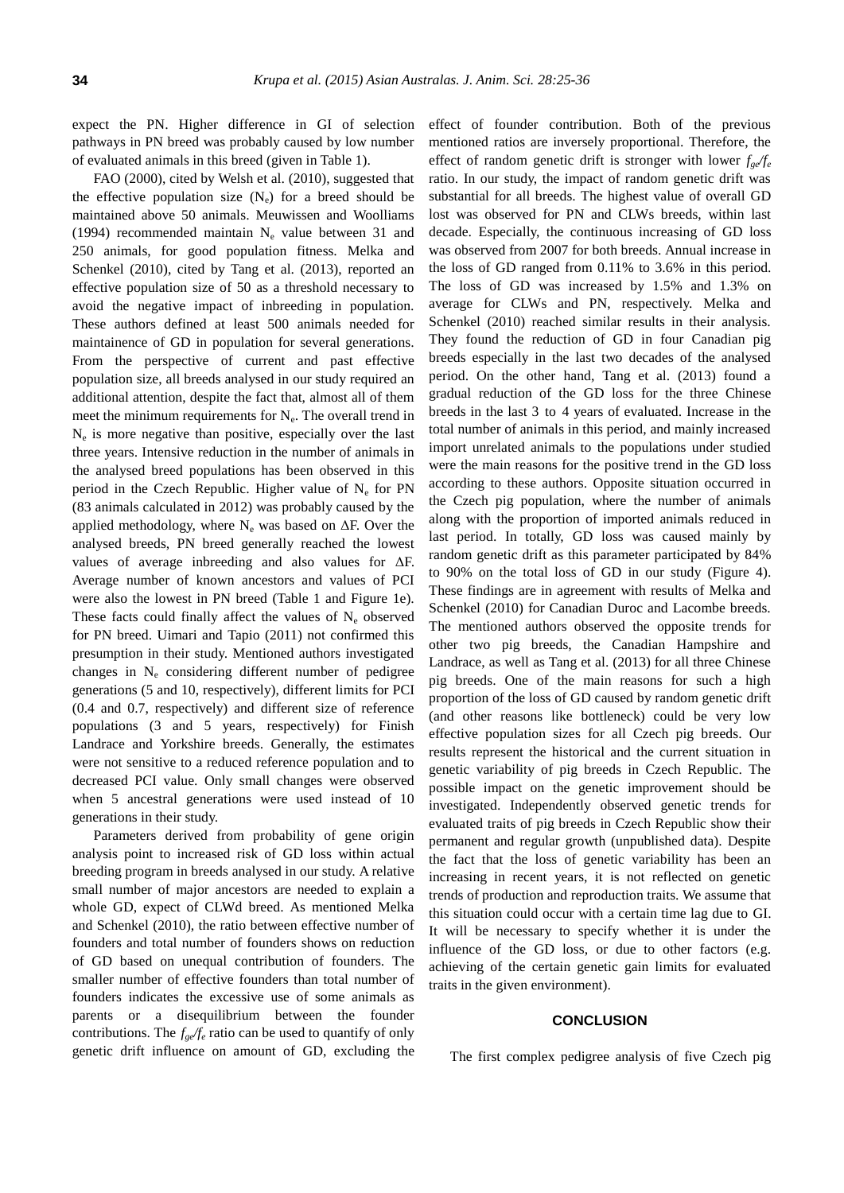expect the PN. Higher difference in GI of selection pathways in PN breed was probably caused by low number of evaluated animals in this breed (given in Table 1).

FAO (2000), cited by Welsh et al. (2010), suggested that the effective population size  $(N_e)$  for a breed should be maintained above 50 animals. Meuwissen and Woolliams (1994) recommended maintain  $N_e$  value between 31 and 250 animals, for good population fitness. Melka and Schenkel (2010), cited by Tang et al. (2013), reported an effective population size of 50 as a threshold necessary to avoid the negative impact of inbreeding in population. These authors defined at least 500 animals needed for maintainence of GD in population for several generations. From the perspective of current and past effective population size, all breeds analysed in our study required an additional attention, despite the fact that, almost all of them meet the minimum requirements for  $N_e$ . The overall trend in Ne is more negative than positive, especially over the last three years. Intensive reduction in the number of animals in the analysed breed populations has been observed in this period in the Czech Republic. Higher value of  $N_e$  for PN (83 animals calculated in 2012) was probably caused by the applied methodology, where  $N_e$  was based on  $\Delta F$ . Over the analysed breeds, PN breed generally reached the lowest values of average inbreeding and also values for ΔF. Average number of known ancestors and values of PCI were also the lowest in PN breed (Table 1 and Figure 1e). These facts could finally affect the values of  $N_e$  observed for PN breed. Uimari and Tapio (2011) not confirmed this presumption in their study. Mentioned authors investigated changes in  $N_e$  considering different number of pedigree generations (5 and 10, respectively), different limits for PCI (0.4 and 0.7, respectively) and different size of reference populations (3 and 5 years, respectively) for Finish Landrace and Yorkshire breeds. Generally, the estimates were not sensitive to a reduced reference population and to decreased PCI value. Only small changes were observed when 5 ancestral generations were used instead of 10 generations in their study.

Parameters derived from probability of gene origin analysis point to increased risk of GD loss within actual breeding program in breeds analysed in our study. A relative small number of major ancestors are needed to explain a whole GD, expect of CLWd breed. As mentioned Melka and Schenkel (2010), the ratio between effective number of founders and total number of founders shows on reduction of GD based on unequal contribution of founders. The smaller number of effective founders than total number of founders indicates the excessive use of some animals as parents or a disequilibrium between the founder contributions. The *fge/f<sup>e</sup>* ratio can be used to quantify of only genetic drift influence on amount of GD, excluding the

effect of founder contribution. Both of the previous mentioned ratios are inversely proportional. Therefore, the effect of random genetic drift is stronger with lower *fge/f<sup>e</sup>* ratio. In our study, the impact of random genetic drift was substantial for all breeds. The highest value of overall GD lost was observed for PN and CLWs breeds, within last decade. Especially, the continuous increasing of GD loss was observed from 2007 for both breeds. Annual increase in the loss of GD ranged from 0.11% to 3.6% in this period. The loss of GD was increased by 1.5% and 1.3% on average for CLWs and PN, respectively. Melka and Schenkel (2010) reached similar results in their analysis. They found the reduction of GD in four Canadian pig breeds especially in the last two decades of the analysed period. On the other hand, Tang et al. (2013) found a gradual reduction of the GD loss for the three Chinese breeds in the last 3 to 4 years of evaluated. Increase in the total number of animals in this period, and mainly increased import unrelated animals to the populations under studied were the main reasons for the positive trend in the GD loss according to these authors. Opposite situation occurred in the Czech pig population, where the number of animals along with the proportion of imported animals reduced in last period. In totally, GD loss was caused mainly by random genetic drift as this parameter participated by 84% to 90% on the total loss of GD in our study (Figure 4). These findings are in agreement with results of Melka and Schenkel (2010) for Canadian Duroc and Lacombe breeds. The mentioned authors observed the opposite trends for other two pig breeds, the Canadian Hampshire and Landrace, as well as Tang et al. (2013) for all three Chinese pig breeds. One of the main reasons for such a high proportion of the loss of GD caused by random genetic drift (and other reasons like bottleneck) could be very low effective population sizes for all Czech pig breeds. Our results represent the historical and the current situation in genetic variability of pig breeds in Czech Republic. The possible impact on the genetic improvement should be investigated. Independently observed genetic trends for evaluated traits of pig breeds in Czech Republic show their permanent and regular growth (unpublished data). Despite the fact that the loss of genetic variability has been an increasing in recent years, it is not reflected on genetic trends of production and reproduction traits. We assume that this situation could occur with a certain time lag due to GI. It will be necessary to specify whether it is under the influence of the GD loss, or due to other factors (e.g. achieving of the certain genetic gain limits for evaluated traits in the given environment).

## **CONCLUSION**

The first complex pedigree analysis of five Czech pig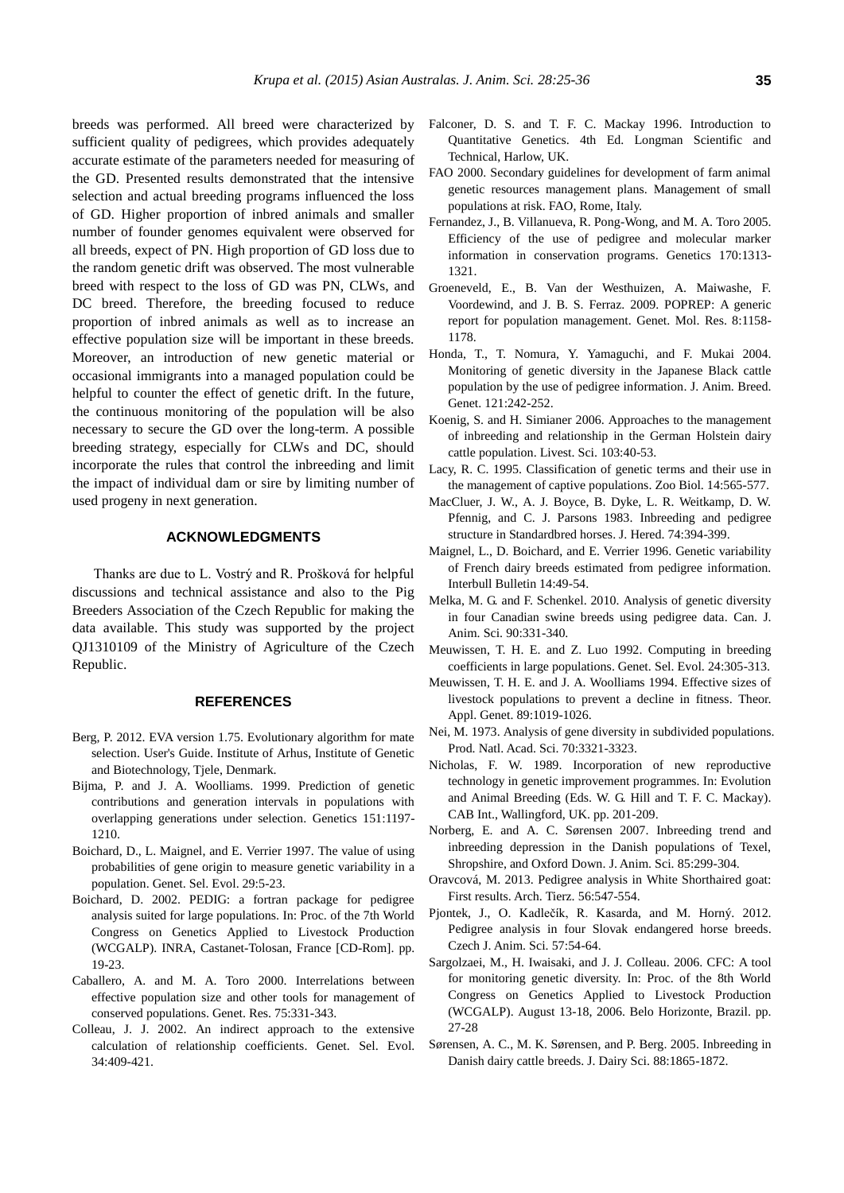breeds was performed. All breed were characterized by sufficient quality of pedigrees, which provides adequately accurate estimate of the parameters needed for measuring of the GD. Presented results demonstrated that the intensive selection and actual breeding programs influenced the loss of GD. Higher proportion of inbred animals and smaller number of founder genomes equivalent were observed for all breeds, expect of PN. High proportion of GD loss due to the random genetic drift was observed. The most vulnerable breed with respect to the loss of GD was PN, CLWs, and DC breed. Therefore, the breeding focused to reduce proportion of inbred animals as well as to increase an effective population size will be important in these breeds. Moreover, an introduction of new genetic material or occasional immigrants into a managed population could be helpful to counter the effect of genetic drift. In the future, the continuous monitoring of the population will be also necessary to secure the GD over the long-term. A possible breeding strategy, especially for CLWs and DC, should incorporate the rules that control the inbreeding and limit the impact of individual dam or sire by limiting number of used progeny in next generation.

# **ACKNOWLEDGMENTS**

Thanks are due to L. Vostrý and R. Prošková for helpful discussions and technical assistance and also to the Pig Breeders Association of the Czech Republic for making the data available. This study was supported by the project QJ1310109 of the Ministry of Agriculture of the Czech Republic.

#### **REFERENCES**

- Berg, P. 2012. EVA version 1.75. Evolutionary algorithm for mate selection. User's Guide. Institute of Arhus, Institute of Genetic and Biotechnology, Tjele, Denmark.
- Bijma, P. and J. A. Woolliams. 1999. [Prediction of genetic](http://www.genetics.org/content/151/3/1197.short)  [contributions and generation intervals in populations with](http://www.genetics.org/content/151/3/1197.short)  [overlapping generations under selection.](http://www.genetics.org/content/151/3/1197.short) Genetics 151:1197- 1210.
- Boichard, D., L. Maignel, and E. Verrier 1997. [The value of using](http://www.gse-journal.org/articles/gse/pdf/1997/01/GSE_0999-193X_1997_29_1_ART0001.pdf)  [probabilities of gene origin to measure genetic variability in a](http://www.gse-journal.org/articles/gse/pdf/1997/01/GSE_0999-193X_1997_29_1_ART0001.pdf)  [population.](http://www.gse-journal.org/articles/gse/pdf/1997/01/GSE_0999-193X_1997_29_1_ART0001.pdf) Genet. Sel. Evol. 29:5-23.
- Boichard, D. 2002. PEDIG: a fortran package for pedigree analysis suited for large populations. In: Proc. of the 7th World Congress on Genetics Applied to Livestock Production (WCGALP). INRA, Castanet-Tolosan, France [CD-Rom]. pp. 19-23.
- Caballero, A. and M. A. Toro 2000. [Interrelations between](http://journals.cambridge.org/action/displayAbstract?fromPage=online&aid=52689&fileId=S0016672399004449)  [effective population size and other tools for management of](http://journals.cambridge.org/action/displayAbstract?fromPage=online&aid=52689&fileId=S0016672399004449)  [conserved populations.](http://journals.cambridge.org/action/displayAbstract?fromPage=online&aid=52689&fileId=S0016672399004449) Genet. Res. 75:331-343.
- Colleau, J. J. 2002. [An indirect approach to the extensive](http://www.ncbi.nlm.nih.gov/pubmed/12270102)  [calculation of relationship coefficients.](http://www.ncbi.nlm.nih.gov/pubmed/12270102) Genet. Sel. Evol. 34:409-421.
- Falconer, D. S. and T. F. C. Mackay 1996. Introduction to Quantitative Genetics. 4th Ed. Longman Scientific and Technical, Harlow, UK.
- FAO 2000. Secondary guidelines for development of farm animal genetic resources management plans. Management of small populations at risk. FAO, Rome, Italy.
- Fernandez, J., B. Villanueva, R. Pong-Wong, and M. A. Toro 2005. [Efficiency of the use of pedigree and molecular marker](http://www.genetics.org/content/170/3/1313.short)  [information in conservation programs.](http://www.genetics.org/content/170/3/1313.short) Genetics 170:1313- 1321.
- Groeneveld, E., B. Van der Westhuizen, A. Maiwashe, F. Voordewind, and J. B. S. Ferraz. 2009. [POPREP: A generic](http://documents.plant.wur.nl/cgn/seminars/Workshop20100601/Poprep%20paper.pdf)  [report for population management.](http://documents.plant.wur.nl/cgn/seminars/Workshop20100601/Poprep%20paper.pdf) Genet. Mol. Res. 8:1158- 1178.
- Honda, T., T. Nomura, Y. Yamaguchi, and F. Mukai 2004. Monitoring of [genetic diversity in the Japanese Black cattle](http://onlinelibrary.wiley.com/doi/10.1111/j.1439-0388.2004.00452.x/abstract?deniedAccessCustomisedMessage=&userIsAuthenticated=false)  [population by the use of pedigree information.](http://onlinelibrary.wiley.com/doi/10.1111/j.1439-0388.2004.00452.x/abstract?deniedAccessCustomisedMessage=&userIsAuthenticated=false) J. Anim. Breed. Genet. 121:242-252.
- Koenig, S. and H. Simianer 2006. [Approaches to the management](http://www.sciencedirect.com/science/article/pii/S1871141306000527)  [of inbreeding and relationship in the German Holstein dairy](http://www.sciencedirect.com/science/article/pii/S1871141306000527)  [cattle population.](http://www.sciencedirect.com/science/article/pii/S1871141306000527) Livest. Sci. 103:40-53.
- Lacy, R. C. 1995. [Classification of genetic terms and their use in](http://onlinelibrary.wiley.com/doi/10.1002/zoo.1430140609/abstract)  [the management of captive populations.](http://onlinelibrary.wiley.com/doi/10.1002/zoo.1430140609/abstract) Zoo Biol. 14:565-577.
- MacCluer, J. W., A. J. Boyce, B. Dyke, L. R. Weitkamp, D. W. Pfennig, and C. J. Parsons 1983. [Inbreeding and pedigree](http://jhered.oxfordjournals.org/content/74/6/394.short)  [structure in Standardbred horses.](http://jhered.oxfordjournals.org/content/74/6/394.short) J. Hered. 74:394-399.
- Maignel, L., D. Boichard, and E. Verrier 1996. Genetic variability of French dairy breeds estimated from pedigree information. Interbull Bulletin 14:49-54.
- Melka, M. G. and F. Schenkel. 2010[. Analysis of genetic diversity](http://pubs.aic.ca/doi/abs/10.4141/CJAS10002)  [in four Canadian swine breeds using pedigree data.](http://pubs.aic.ca/doi/abs/10.4141/CJAS10002) Can. J. Anim. Sci. 90:331-340.
- Meuwissen, T. H. E. and Z. Luo 1992. [Computing in breeding](http://www.gse-journal.org/articles/gse/pdf/1992/04/GSE_0999-193X_1992_24_4_ART0002.pdf)  [coefficients in large populations.](http://www.gse-journal.org/articles/gse/pdf/1992/04/GSE_0999-193X_1992_24_4_ART0002.pdf) Genet. Sel. Evol. 24:305-313.
- Meuwissen, T. H. E. and J. A. Woolliams 1994. [Effective sizes of](http://link.springer.com/article/10.1007/BF00224533)  [livestock populations to prevent a decline in fitness.](http://link.springer.com/article/10.1007/BF00224533) Theor. Appl. Genet. 89:1019-1026.
- Nei, M. 1973. [Analysis of gene diversity in subdivided populations.](http://www.pnas.org/content/70/12/3321.short)  Prod. Natl. Acad. Sci. 70:3321-3323.
- Nicholas, F. W. 1989. Incorporation of new reproductive technology in genetic improvement programmes. In: Evolution and Animal Breeding (Eds. W. G. Hill and T. F. C. Mackay). CAB Int., Wallingford, UK. pp. 201-209.
- Norberg, E. and A. C. Sørensen 2007. [Inbreeding trend and](http://www.journalofanimalscience.org/content/85/2/299.full.pdf)  [inbreeding depression in the Danish populations of Texel,](http://www.journalofanimalscience.org/content/85/2/299.full.pdf)  [Shropshire, and Oxford Down.](http://www.journalofanimalscience.org/content/85/2/299.full.pdf) J. Anim. Sci. 85:299-304.
- Oravcová, M. 2013. [Pedigree analysis in White Shorthaired goat:](http://doi.fbn-dummerstorf.de/2013/at56a053.pdf)  [First results.](http://doi.fbn-dummerstorf.de/2013/at56a053.pdf) Arch. Tierz. 56:547-554.
- Pjontek, J., O. Kadlečík, R. Kasarda, and M. Horný. 2012. [Pedigree analysis in four Slovak endangered horse breeds.](http://agriculturejournals.cz/publicFiles/58324.pdf) Czech J. Anim. Sci. 57:54-64.
- Sargolzaei, M., H. Iwaisaki, and J. J. Colleau. 2006. CFC: A tool for monitoring genetic diversity. In: Proc. of the 8th World Congress on Genetics Applied to Livestock Production (WCGALP). August 13-18, 2006. Belo Horizonte, Brazil. pp. 27-28
- Sørensen, A. C., M. K. Sørensen, and P. Berg. 200[5. Inbreeding in](http://www.sciencedirect.com/science/article/pii/S0022030205728617)  [Danish dairy cattle breeds.](http://www.sciencedirect.com/science/article/pii/S0022030205728617) J. Dairy Sci. 88:1865-1872.